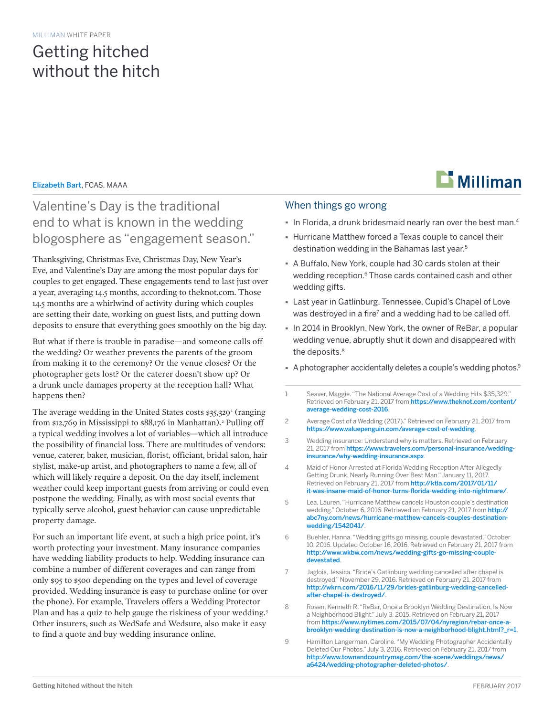# Getting hitched without the hitch

### Elizabeth Bart, FCAS, MAAA

## Valentine's Day is the traditional end to what is known in the wedding blogosphere as "engagement season."

Thanksgiving, Christmas Eve, Christmas Day, New Year's Eve, and Valentine's Day are among the most popular days for couples to get engaged. These engagements tend to last just over a year, averaging 14.5 months, according to theknot.com. Those 14.5 months are a whirlwind of activity during which couples are setting their date, working on guest lists, and putting down deposits to ensure that everything goes smoothly on the big day.

But what if there is trouble in paradise—and someone calls off the wedding? Or weather prevents the parents of the groom from making it to the ceremony? Or the venue closes? Or the photographer gets lost? Or the caterer doesn't show up? Or a drunk uncle damages property at the reception hall? What happens then?

The average wedding in the United States costs \$35,329<sup>1</sup> (ranging from \$12,769 in Mississippi to \$88,176 in Manhattan).<sup>2</sup> Pulling off a typical wedding involves a lot of variables—which all introduce the possibility of financial loss. There are multitudes of vendors: venue, caterer, baker, musician, florist, officiant, bridal salon, hair stylist, make-up artist, and photographers to name a few, all of which will likely require a deposit. On the day itself, inclement weather could keep important guests from arriving or could even postpone the wedding. Finally, as with most social events that typically serve alcohol, guest behavior can cause unpredictable property damage.

For such an important life event, at such a high price point, it's worth protecting your investment. Many insurance companies have wedding liability products to help. Wedding insurance can combine a number of different coverages and can range from only \$95 to \$500 depending on the types and level of coverage provided. Wedding insurance is easy to purchase online (or over the phone). For example, Travelers offers a Wedding Protector Plan and has a quiz to help gauge the riskiness of your wedding.<sup>3</sup> Other insurers, such as WedSafe and Wedsure, also make it easy to find a quote and buy wedding insurance online.

### When things go wrong

- **·** In Florida, a drunk bridesmaid nearly ran over the best man.4
- **·** Hurricane Matthew forced a Texas couple to cancel their destination wedding in the Bahamas last year.<sup>5</sup>
- **·** A Buffalo, New York, couple had 30 cards stolen at their wedding reception.<sup>6</sup> Those cards contained cash and other wedding gifts.
- **·** Last year in Gatlinburg, Tennessee, Cupid's Chapel of Love was destroyed in a fire<sup>7</sup> and a wedding had to be called off.
- **·** In 2014 in Brooklyn, New York, the owner of ReBar, a popular wedding venue, abruptly shut it down and disappeared with the deposits.<sup>8</sup>
- **·** A photographer accidentally deletes a couple's wedding photos.9
- 1 Seaver, Maggie. "The National Average Cost of a Wedding Hits \$35,329." Retrieved on February 21, 2017 from [https://www.theknot.com/content/](https://www.theknot.com/content/average-wedding-cost-2016) [average-wedding-cost-2016](https://www.theknot.com/content/average-wedding-cost-2016).
- 2 Average Cost of a Wedding (2017)." Retrieved on February 21, 2017 from <https://www.valuepenguin.com/average-cost-of-wedding>.
- 3 Wedding insurance: Understand why is matters. Retrieved on February 21, 2017 from [https://www.travelers.com/personal-insurance/wedding](https://www.travelers.com/personal-insurance/wedding-insurance/why-wedding-insurance.aspx)[insurance/why-wedding-insurance.aspx](https://www.travelers.com/personal-insurance/wedding-insurance/why-wedding-insurance.aspx).
- 4 Maid of Honor Arrested at Florida Wedding Reception After Allegedly Getting Drunk, Nearly Running Over Best Man." January 11, 2017. Retrieved on February 21, 2017 from [http://ktla.com/2017/01/11/](http://ktla.com/2017/01/11/it-was-insane-maid-of-honor-turns-florida-wedding-into-nightmare/) [it-was-insane-maid-of-honor-turns-florida-wedding-into-nightmare/](http://ktla.com/2017/01/11/it-was-insane-maid-of-honor-turns-florida-wedding-into-nightmare/).
- 5 Lea, Lauren. "Hurricane Matthew cancels Houston couple's destination wedding." October 6, 2016. Retrieved on February 21, 2017 from [http://](http://abc7ny.com/news/hurricane-matthew-cancels-couples-destination-wedding/1542041/) [abc7ny.com/news/hurricane-matthew-cancels-couples-destination](http://abc7ny.com/news/hurricane-matthew-cancels-couples-destination-wedding/1542041/)[wedding/1542041/](http://abc7ny.com/news/hurricane-matthew-cancels-couples-destination-wedding/1542041/).
- 6 Buehler, Hanna. "Wedding gifts go missing, couple devastated." October 10, 2016. Updated October 16, 2016. Retrieved on February 21, 2017 from [http://www.wkbw.com/news/wedding-gifts-go-missing-couple](http://www.wkbw.com/news/wedding-gifts-go-missing-couple-devestated)[devestated](http://www.wkbw.com/news/wedding-gifts-go-missing-couple-devestated).
- 7 Jaglois, Jessica. "Bride's Gatlinburg wedding cancelled after chapel is destroyed." November 29, 2016. Retrieved on February 21, 2017 from [http://wkrn.com/2016/11/29/brides-gatlinburg-wedding-cancelled](http://wkrn.com/2016/11/29/brides-gatlinburg-wedding-cancelled-after-chapel-is-destroyed/)[after-chapel-is-destroyed/](http://wkrn.com/2016/11/29/brides-gatlinburg-wedding-cancelled-after-chapel-is-destroyed/).
- 8 Rosen, Kenneth R. "ReBar, Once a Brooklyn Wedding Destination, Is Now a Neighborhood Blight." July 3, 2015. Retrieved on February 21, 2017 from [https://www.nytimes.com/2015/07/04/nyregion/rebar-once-a](https://www.nytimes.com/2015/07/04/nyregion/rebar-once-a-brooklyn-wedding-destination-is-now-a-neighborhood-blight.html?_r=1)[brooklyn-wedding-destination-is-now-a-neighborhood-blight.html?\\_r=1](https://www.nytimes.com/2015/07/04/nyregion/rebar-once-a-brooklyn-wedding-destination-is-now-a-neighborhood-blight.html?_r=1).
- 9 Hamilton Langerman, Caroline. "My Wedding Photographer Accidentally Deleted Our Photos." July 3, 2016. Retrieved on February 21, 2017 from [http://www.townandcountrymag.com/the-scene/weddings/news/](http://www.townandcountrymag.com/the-scene/weddings/news/a6424/wedding-photographer-deleted-photos/) [a6424/wedding-photographer-deleted-photos/](http://www.townandcountrymag.com/the-scene/weddings/news/a6424/wedding-photographer-deleted-photos/).